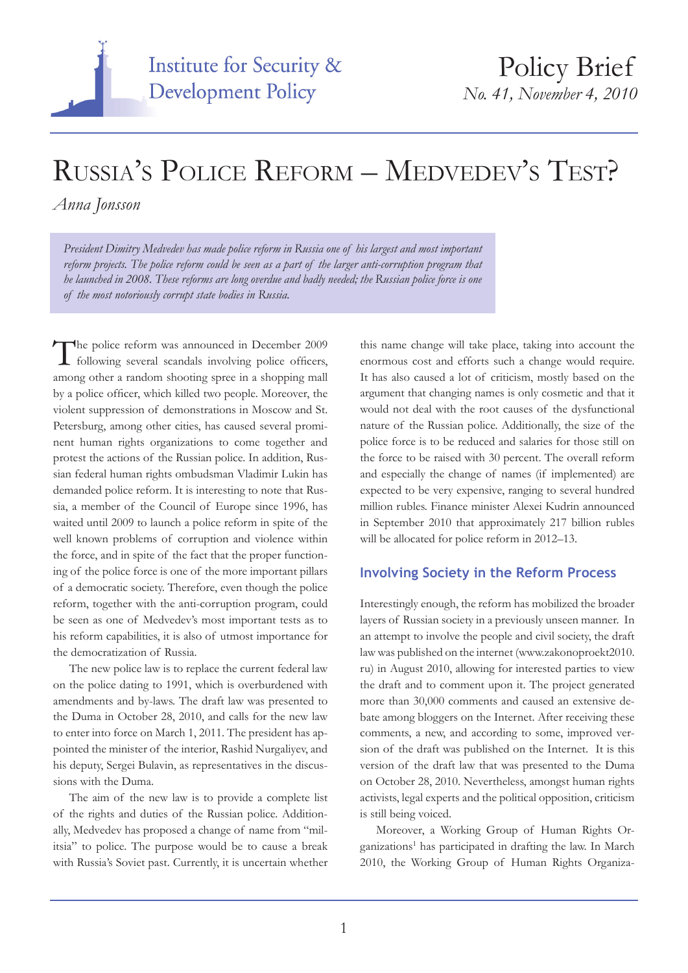

# Russia's Police Reform – Medvedev's Test?

*Anna Jonsson*

*President Dimitry Medvedev has made police reform in Russia one of his largest and most important reform projects. The police reform could be seen as a part of the larger anti-corruption program that he launched in 2008. These reforms are long overdue and badly needed; the Russian police force is one of the most notoriously corrupt state bodies in Russia.* 

The police reform was announced in December 2009 following several scandals involving police officers, among other a random shooting spree in a shopping mall by a police officer, which killed two people. Moreover, the violent suppression of demonstrations in Moscow and St. Petersburg, among other cities, has caused several prominent human rights organizations to come together and protest the actions of the Russian police. In addition, Russian federal human rights ombudsman Vladimir Lukin has demanded police reform. It is interesting to note that Russia, a member of the Council of Europe since 1996, has waited until 2009 to launch a police reform in spite of the well known problems of corruption and violence within the force, and in spite of the fact that the proper functioning of the police force is one of the more important pillars of a democratic society. Therefore, even though the police reform, together with the anti-corruption program, could be seen as one of Medvedev's most important tests as to his reform capabilities, it is also of utmost importance for the democratization of Russia.

The new police law is to replace the current federal law on the police dating to 1991, which is overburdened with amendments and by-laws. The draft law was presented to the Duma in October 28, 2010, and calls for the new law to enter into force on March 1, 2011. The president has appointed the minister of the interior, Rashid Nurgaliyev, and his deputy, Sergei Bulavin, as representatives in the discussions with the Duma.

The aim of the new law is to provide a complete list of the rights and duties of the Russian police. Additionally, Medvedev has proposed a change of name from "militsia" to police. The purpose would be to cause a break with Russia's Soviet past. Currently, it is uncertain whether this name change will take place, taking into account the enormous cost and efforts such a change would require. It has also caused a lot of criticism, mostly based on the argument that changing names is only cosmetic and that it would not deal with the root causes of the dysfunctional nature of the Russian police. Additionally, the size of the police force is to be reduced and salaries for those still on the force to be raised with 30 percent. The overall reform and especially the change of names (if implemented) are expected to be very expensive, ranging to several hundred million rubles. Finance minister Alexei Kudrin announced in September 2010 that approximately 217 billion rubles will be allocated for police reform in 2012–13.

## **Involving Society in the Reform Process**

Interestingly enough, the reform has mobilized the broader layers of Russian society in a previously unseen manner. In an attempt to involve the people and civil society, the draft law was published on the internet (www.zakonoproekt2010. ru) in August 2010, allowing for interested parties to view the draft and to comment upon it. The project generated more than 30,000 comments and caused an extensive debate among bloggers on the Internet. After receiving these comments, a new, and according to some, improved version of the draft was published on the Internet. It is this version of the draft law that was presented to the Duma on October 28, 2010. Nevertheless, amongst human rights activists, legal experts and the political opposition, criticism is still being voiced.

Moreover, a Working Group of Human Rights Organizations<sup>1</sup> has participated in drafting the law. In March 2010, the Working Group of Human Rights Organiza-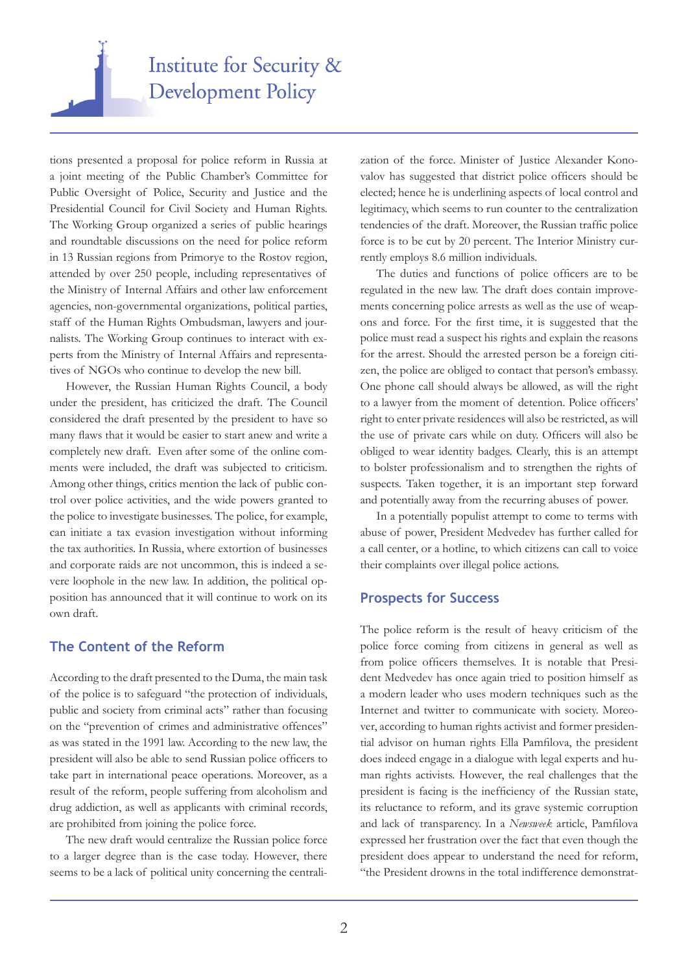

tions presented a proposal for police reform in Russia at a joint meeting of the Public Chamber's Committee for Public Oversight of Police, Security and Justice and the Presidential Council for Civil Society and Human Rights. The Working Group organized a series of public hearings and roundtable discussions on the need for police reform in 13 Russian regions from Primorye to the Rostov region, attended by over 250 people, including representatives of the Ministry of Internal Affairs and other law enforcement agencies, non-governmental organizations, political parties, staff of the Human Rights Ombudsman, lawyers and journalists. The Working Group continues to interact with experts from the Ministry of Internal Affairs and representatives of NGOs who continue to develop the new bill.

However, the Russian Human Rights Council, a body under the president, has criticized the draft. The Council considered the draft presented by the president to have so many flaws that it would be easier to start anew and write a completely new draft. Even after some of the online comments were included, the draft was subjected to criticism. Among other things, critics mention the lack of public control over police activities, and the wide powers granted to the police to investigate businesses. The police, for example, can initiate a tax evasion investigation without informing the tax authorities. In Russia, where extortion of businesses and corporate raids are not uncommon, this is indeed a severe loophole in the new law. In addition, the political opposition has announced that it will continue to work on its own draft.

### **The Content of the Reform**

According to the draft presented to the Duma, the main task of the police is to safeguard "the protection of individuals, public and society from criminal acts" rather than focusing on the "prevention of crimes and administrative offences" as was stated in the 1991 law. According to the new law, the president will also be able to send Russian police officers to take part in international peace operations. Moreover, as a result of the reform, people suffering from alcoholism and drug addiction, as well as applicants with criminal records, are prohibited from joining the police force.

The new draft would centralize the Russian police force to a larger degree than is the case today. However, there seems to be a lack of political unity concerning the centralization of the force. Minister of Justice Alexander Konovalov has suggested that district police officers should be elected; hence he is underlining aspects of local control and legitimacy, which seems to run counter to the centralization tendencies of the draft. Moreover, the Russian traffic police force is to be cut by 20 percent. The Interior Ministry currently employs 8.6 million individuals.

The duties and functions of police officers are to be regulated in the new law. The draft does contain improvements concerning police arrests as well as the use of weapons and force. For the first time, it is suggested that the police must read a suspect his rights and explain the reasons for the arrest. Should the arrested person be a foreign citizen, the police are obliged to contact that person's embassy. One phone call should always be allowed, as will the right to a lawyer from the moment of detention. Police officers' right to enter private residences will also be restricted, as will the use of private cars while on duty. Officers will also be obliged to wear identity badges. Clearly, this is an attempt to bolster professionalism and to strengthen the rights of suspects. Taken together, it is an important step forward and potentially away from the recurring abuses of power.

In a potentially populist attempt to come to terms with abuse of power, President Medvedev has further called for a call center, or a hotline, to which citizens can call to voice their complaints over illegal police actions.

#### **Prospects for Success**

The police reform is the result of heavy criticism of the police force coming from citizens in general as well as from police officers themselves. It is notable that President Medvedev has once again tried to position himself as a modern leader who uses modern techniques such as the Internet and twitter to communicate with society. Moreover, according to human rights activist and former presidential advisor on human rights Ella Pamfilova, the president does indeed engage in a dialogue with legal experts and human rights activists. However, the real challenges that the president is facing is the inefficiency of the Russian state, its reluctance to reform, and its grave systemic corruption and lack of transparency. In a *Newsweek* article, Pamfilova expressed her frustration over the fact that even though the president does appear to understand the need for reform, "the President drowns in the total indifference demonstrat-